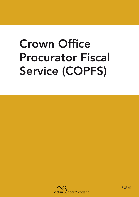# Crown Office Procurator Fiscal Service (COPFS)



F-27-01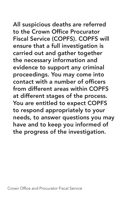All suspicious deaths are referred to the Crown Office Procurator Fiscal Service (COPFS). COPFS will ensure that a full investigation is carried out and gather together the necessary information and evidence to support any criminal proceedings. You may come into contact with a number of officers from different areas within COPFS at different stages of the process. You are entitled to expect COPFS to respond appropriately to your needs, to answer questions you may have and to keep you informed of the progress of the investigation.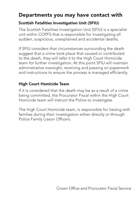# Departments you may have contact with

### Scottish Fatalities Investigation Unit (SFIU)

The Scottish Fatalities Investigation Unit (SFIU) is a specialist unit within COPFS that is responsible for investigating all sudden, suspicious, unexplained and accidental deaths.

If SFIU considers that circumstances surrounding the death suggest that a crime took place that caused or contributed to the death, they will refer it to the High Court Homicide team for further investigation. At this point SFIU will maintain administrative oversight, receiving and passing on paperwork and instructions to ensure the process is managed efficiently.

## High Court Homicide Team

If it is considered that the death may be as a result of a crime being committed, the Procurator Fiscal within the High Court Homicide team will instruct the Police to investigate.

The High Court Homicide team, is responsible for liaising with families during their investigation either directly or through Police Family Liason Officers.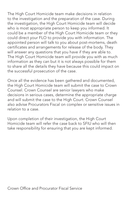The High Court Homicide team make decisions in relation to the investigation and the preparation of the case. During the investigation, the High Court Homicide team will decide who is most appropriate person to keep you informed. It could be a member of the High Court Homicide team or they could direct your FLO to provide you with information. The appointed person will talk to you about post-mortems, death certificates and arrangements for release of the body. They will answer any questions that you have if they are able to. The High Court Homicide team will provide you with as much information as they can but it is not always possible for them to share all the details they have because this could impact on the successful prosecution of the case.

Once all the evidence has been gathered and documented, the High Court Homicide team will submit the case to Crown Counsel. Crown Counsel are senior lawyers who make decisions in serious cases, determine the appropriate charge and will submit the case to the High Court. Crown Counsel also advise Procurators Fiscal on complex or sensitive issues in relation to a case.

Upon completion of their investigation, the High Court Homicide team will refer the case back to SFIU who will then take responsibility for ensuring that you are kept informed.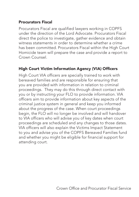#### Procurators Fiscal

Procurators Fiscal are qualified lawyers working in COPFS under the direction of the Lord Advocate. Procurators Fiscal direct the police to investigate, gather evidence and obtain witness statements in order to determine whether a crime has been committed. Procurators Fiscal within the High Court Homicide team will prepare the case and provide a report to Crown Counsel.

#### High Court Victim Information Agency (VIA) Officers

High Court VIA officers are specially trained to work with bereaved families and are responsible for ensuring that you are provided with information in relation to criminal proceedings. They may do this through direct contact with you or by instructing your FLO to provide information. VIA officers aim to provide information about key aspects of the criminal justice system in general and keep you informed about the progress of the case. When court proceedings begin, the FLO will no longer be involved and will handover to VIA officers who will advise you of key dates when court proceedings are scheduled and any changes to those dates. VIA officers will also explain the Victims Impact Statement to you and advise you of the COPFS Bereaved Families fund and whether you might be eligible for financial support for attending court.